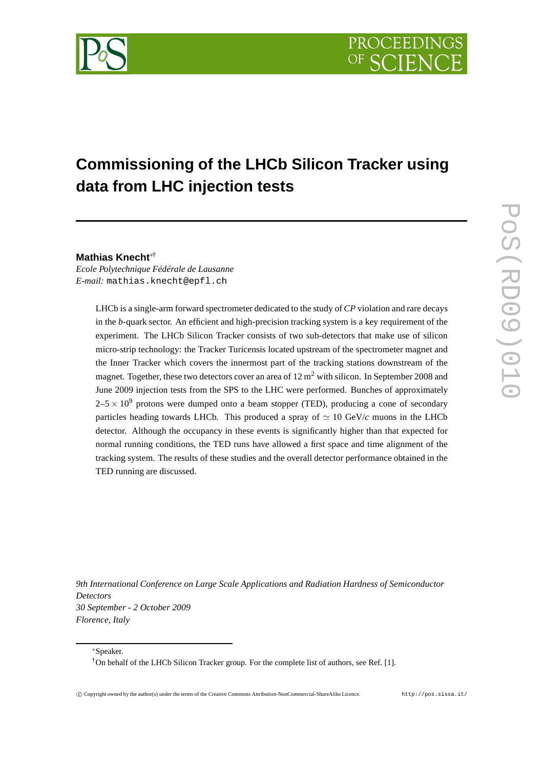

# **Commissioning of the LHCb Silicon Tracker using data from LHC injection tests**

**Mathias Knecht**∗†

*Ecole Polytechnique Fédérale de Lausanne E-mail:* mathias.knecht@epfl.ch

> LHCb is a single-arm forward spectrometer dedicated to the study of*CP* violation and rare decays in the *b*-quark sector. An efficient and high-precision tracking system is a key requirement of the experiment. The LHCb Silicon Tracker consists of two sub-detectors that make use of silicon micro-strip technology: the Tracker Turicensis located upstream of the spectrometer magnet and the Inner Tracker which covers the innermost part of the tracking stations downstream of the magnet. Together, these two detectors cover an area of  $12 \text{ m}^2$  with silicon. In September 2008 and June 2009 injection tests from the SPS to the LHC were performed. Bunches of approximately  $2-5 \times 10^9$  protons were dumped onto a beam stopper (TED), producing a cone of secondary particles heading towards LHCb. This produced a spray of  $\simeq 10 \text{ GeV}/c$  muons in the LHCb detector. Although the occupancy in these events is significantly higher than that expected for normal running conditions, the TED runs have allowed a first space and time alignment of the tracking system. The results of these studies and the overall detector performance obtained in the TED running are discussed.

*9th International Conference on Large Scale Applications and Radiation Hardness of Semiconductor Detectors 30 September - 2 October 2009 Florence, Italy*

<sup>∗</sup>Speaker.

†On behalf of the LHCb Silicon Tracker group. For the complete list of authors, see Ref. [1].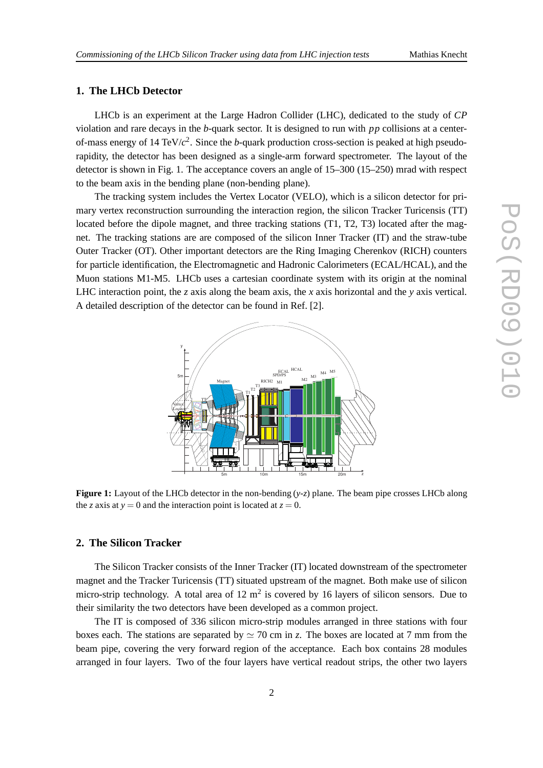# **1. The LHCb Detector**

LHCb is an experiment at the Large Hadron Collider (LHC), dedicated to the study of *CP* violation and rare decays in the *b*-quark sector. It is designed to run with *pp* collisions at a centerof-mass energy of 14 TeV/*c* 2 . Since the *b*-quark production cross-section is peaked at high pseudorapidity, the detector has been designed as a single-arm forward spectrometer. The layout of the detector is shown in Fig. 1. The acceptance covers an angle of 15–300 (15–250) mrad with respect to the beam axis in the bending plane (non-bending plane).

The tracking system includes the Vertex Locator (VELO), which is a silicon detector for primary vertex reconstruction surrounding the interaction region, the silicon Tracker Turicensis (TT) located before the dipole magnet, and three tracking stations (T1, T2, T3) located after the magnet. The tracking stations are are composed of the silicon Inner Tracker (IT) and the straw-tube Outer Tracker (OT). Other important detectors are the Ring Imaging Cherenkov (RICH) counters for particle identification, the Electromagnetic and Hadronic Calorimeters (ECAL/HCAL), and the Muon stations M1-M5. LHCb uses a cartesian coordinate system with its origin at the nominal LHC interaction point, the *z* axis along the beam axis, the *x* axis horizontal and the *y* axis vertical. A detailed description of the detector can be found in Ref. [2].



**Figure 1:** Layout of the LHCb detector in the non-bending (*y*-*z*) plane. The beam pipe crosses LHCb along the *z* axis at  $y = 0$  and the interaction point is located at  $z = 0$ .

# **2. The Silicon Tracker**

The Silicon Tracker consists of the Inner Tracker (IT) located downstream of the spectrometer magnet and the Tracker Turicensis (TT) situated upstream of the magnet. Both make use of silicon micro-strip technology. A total area of  $12 \text{ m}^2$  is covered by 16 layers of silicon sensors. Due to their similarity the two detectors have been developed as a common project.

The IT is composed of 336 silicon micro-strip modules arranged in three stations with four boxes each. The stations are separated by  $\simeq$  70 cm in *z*. The boxes are located at 7 mm from the beam pipe, covering the very forward region of the acceptance. Each box contains 28 modules arranged in four layers. Two of the four layers have vertical readout strips, the other two layers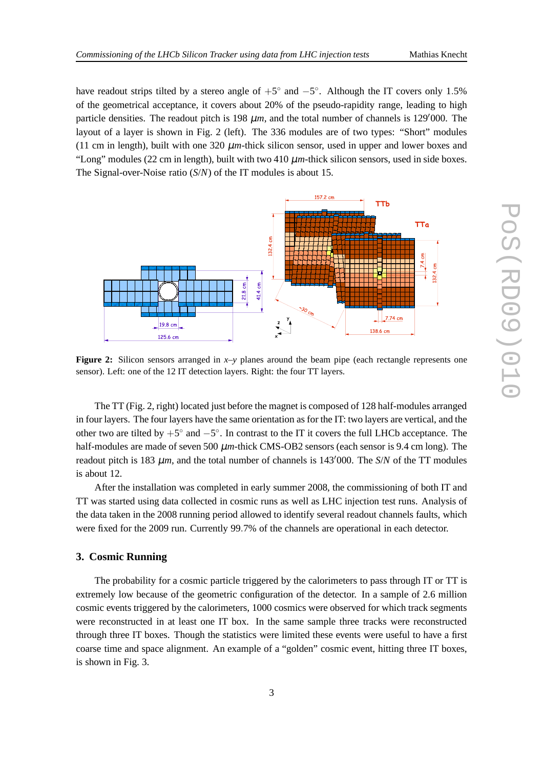have readout strips tilted by a stereo angle of  $+5^{\circ}$  and  $-5^{\circ}$ . Although the IT covers only 1.5% of the geometrical acceptance, it covers about 20% of the pseudo-rapidity range, leading to high particle densities. The readout pitch is 198  $\mu$ m, and the total number of channels is 129′000. The layout of a layer is shown in Fig. 2 (left). The 336 modules are of two types: "Short" modules (11 cm in length), built with one 320  $\mu$ m-thick silicon sensor, used in upper and lower boxes and "Long" modules (22 cm in length), built with two 410 µ*m*-thick silicon sensors, used in side boxes. The Signal-over-Noise ratio (*S*/*N*) of the IT modules is about 15.



**Figure 2:** Silicon sensors arranged in  $x-y$  planes around the beam pipe (each rectangle represents one sensor). Left: one of the 12 IT detection layers. Right: the four TT layers.

The TT (Fig. 2, right) located just before the magnet is composed of 128 half-modules arranged in four layers. The four layers have the same orientation as for the IT: two layers are vertical, and the other two are tilted by  $+5^{\circ}$  and  $-5^{\circ}$ . In contrast to the IT it covers the full LHCb acceptance. The half-modules are made of seven 500  $\mu$ m-thick CMS-OB2 sensors (each sensor is 9.4 cm long). The readout pitch is 183 <sup>µ</sup>*m*, and the total number of channels is 143′000. The *S*/*N* of the TT modules is about 12.

After the installation was completed in early summer 2008, the commissioning of both IT and TT was started using data collected in cosmic runs as well as LHC injection test runs. Analysis of the data taken in the 2008 running period allowed to identify several readout channels faults, which were fixed for the 2009 run. Currently 99.7% of the channels are operational in each detector.

# **3. Cosmic Running**

The probability for a cosmic particle triggered by the calorimeters to pass through IT or TT is extremely low because of the geometric configuration of the detector. In a sample of 2.6 million cosmic events triggered by the calorimeters, 1000 cosmics were observed for which track segments were reconstructed in at least one IT box. In the same sample three tracks were reconstructed through three IT boxes. Though the statistics were limited these events were useful to have a first coarse time and space alignment. An example of a "golden" cosmic event, hitting three IT boxes, is shown in Fig. 3.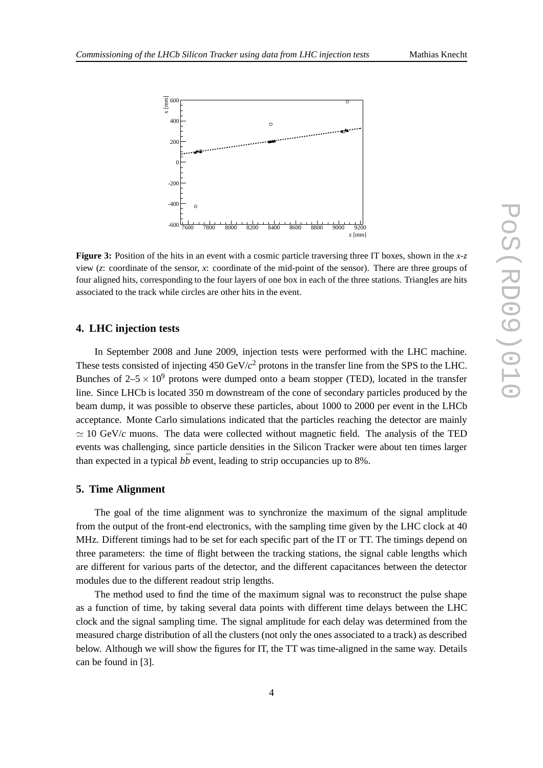

**Figure 3:** Position of the hits in an event with a cosmic particle traversing three IT boxes, shown in the *x*-*z* view (*z*: coordinate of the sensor, *x*: coordinate of the mid-point of the sensor). There are three groups of four aligned hits, corresponding to the four layers of one box in each of the three stations. Triangles are hits associated to the track while circles are other hits in the event.

# **4. LHC injection tests**

In September 2008 and June 2009, injection tests were performed with the LHC machine. These tests consisted of injecting  $450 \,\text{GeV}/c^2$  protons in the transfer line from the SPS to the LHC. Bunches of  $2-5 \times 10^9$  protons were dumped onto a beam stopper (TED), located in the transfer line. Since LHCb is located 350 m downstream of the cone of secondary particles produced by the beam dump, it was possible to observe these particles, about 1000 to 2000 per event in the LHCb acceptance. Monte Carlo simulations indicated that the particles reaching the detector are mainly  $\simeq$  10 GeV/c muons. The data were collected without magnetic field. The analysis of the TED events was challenging, since particle densities in the Silicon Tracker were about ten times larger than expected in a typical  $b\bar{b}$  event, leading to strip occupancies up to 8%.

### **5. Time Alignment**

The goal of the time alignment was to synchronize the maximum of the signal amplitude from the output of the front-end electronics, with the sampling time given by the LHC clock at 40 MHz. Different timings had to be set for each specific part of the IT or TT. The timings depend on three parameters: the time of flight between the tracking stations, the signal cable lengths which are different for various parts of the detector, and the different capacitances between the detector modules due to the different readout strip lengths.

The method used to find the time of the maximum signal was to reconstruct the pulse shape as a function of time, by taking several data points with different time delays between the LHC clock and the signal sampling time. The signal amplitude for each delay was determined from the measured charge distribution of all the clusters (not only the ones associated to a track) as described below. Although we will show the figures for IT, the TT was time-aligned in the same way. Details can be found in [3].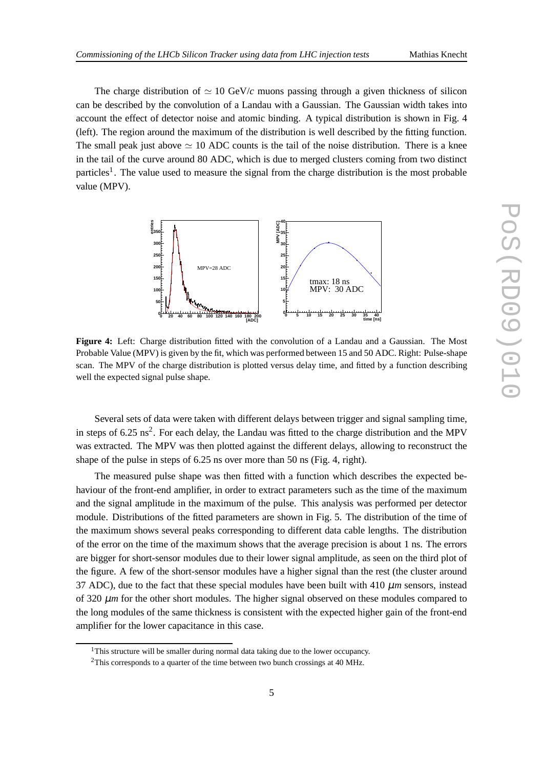The charge distribution of  $\simeq 10 \text{ GeV}/c$  muons passing through a given thickness of silicon can be described by the convolution of a Landau with a Gaussian. The Gaussian width takes into account the effect of detector noise and atomic binding. A typical distribution is shown in Fig. 4 (left). The region around the maximum of the distribution is well described by the fitting function. The small peak just above  $\simeq 10$  ADC counts is the tail of the noise distribution. There is a knee in the tail of the curve around 80 ADC, which is due to merged clusters coming from two distinct particles<sup>1</sup>. The value used to measure the signal from the charge distribution is the most probable value (MPV).



**Figure 4:** Left: Charge distribution fitted with the convolution of a Landau and a Gaussian. The Most Probable Value (MPV) is given by the fit, which was performed between 15 and 50 ADC. Right: Pulse-shape scan. The MPV of the charge distribution is plotted versus delay time, and fitted by a function describing well the expected signal pulse shape.

Several sets of data were taken with different delays between trigger and signal sampling time, in steps of  $6.25 \text{ ns}^2$ . For each delay, the Landau was fitted to the charge distribution and the MPV was extracted. The MPV was then plotted against the different delays, allowing to reconstruct the shape of the pulse in steps of 6.25 ns over more than 50 ns (Fig. 4, right).

The measured pulse shape was then fitted with a function which describes the expected behaviour of the front-end amplifier, in order to extract parameters such as the time of the maximum and the signal amplitude in the maximum of the pulse. This analysis was performed per detector module. Distributions of the fitted parameters are shown in Fig. 5. The distribution of the time of the maximum shows several peaks corresponding to different data cable lengths. The distribution of the error on the time of the maximum shows that the average precision is about 1 ns. The errors are bigger for short-sensor modules due to their lower signal amplitude, as seen on the third plot of the figure. A few of the short-sensor modules have a higher signal than the rest (the cluster around 37 ADC), due to the fact that these special modules have been built with 410  $\mu$ *m* sensors, instead of 320  $\mu$ *m* for the other short modules. The higher signal observed on these modules compared to the long modules of the same thickness is consistent with the expected higher gain of the front-end amplifier for the lower capacitance in this case.

<sup>&</sup>lt;sup>1</sup>This structure will be smaller during normal data taking due to the lower occupancy.

 $2$ This corresponds to a quarter of the time between two bunch crossings at 40 MHz.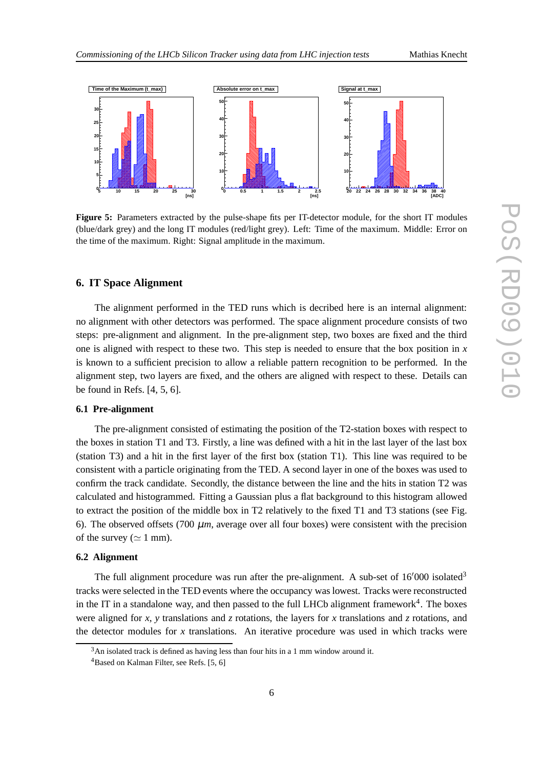

**Figure 5:** Parameters extracted by the pulse-shape fits per IT-detector module, for the short IT modules (blue/dark grey) and the long IT modules (red/light grey). Left: Time of the maximum. Middle: Error on the time of the maximum. Right: Signal amplitude in the maximum.

#### **6. IT Space Alignment**

The alignment performed in the TED runs which is decribed here is an internal alignment: no alignment with other detectors was performed. The space alignment procedure consists of two steps: pre-alignment and alignment. In the pre-alignment step, two boxes are fixed and the third one is aligned with respect to these two. This step is needed to ensure that the box position in *x* is known to a sufficient precision to allow a reliable pattern recognition to be performed. In the alignment step, two layers are fixed, and the others are aligned with respect to these. Details can be found in Refs. [4, 5, 6].

#### **6.1 Pre-alignment**

The pre-alignment consisted of estimating the position of the T2-station boxes with respect to the boxes in station T1 and T3. Firstly, a line was defined with a hit in the last layer of the last box (station T3) and a hit in the first layer of the first box (station T1). This line was required to be consistent with a particle originating from the TED. A second layer in one of the boxes was used to confirm the track candidate. Secondly, the distance between the line and the hits in station T2 was calculated and histogrammed. Fitting a Gaussian plus a flat background to this histogram allowed to extract the position of the middle box in T2 relatively to the fixed T1 and T3 stations (see Fig. 6). The observed offsets (700  $\mu$ *m*, average over all four boxes) were consistent with the precision of the survey ( $\simeq 1$  mm).

# **6.2 Alignment**

The full alignment procedure was run after the pre-alignment. A sub-set of  $16'000$  isolated<sup>3</sup> tracks were selected in the TED events where the occupancy was lowest. Tracks were reconstructed in the IT in a standalone way, and then passed to the full LHCb alignment framework<sup>4</sup>. The boxes were aligned for *x*, *y* translations and *z* rotations, the layers for *x* translations and *z* rotations, and the detector modules for *x* translations. An iterative procedure was used in which tracks were

<sup>&</sup>lt;sup>3</sup>An isolated track is defined as having less than four hits in a 1 mm window around it.

<sup>&</sup>lt;sup>4</sup>Based on Kalman Filter, see Refs. [5, 6]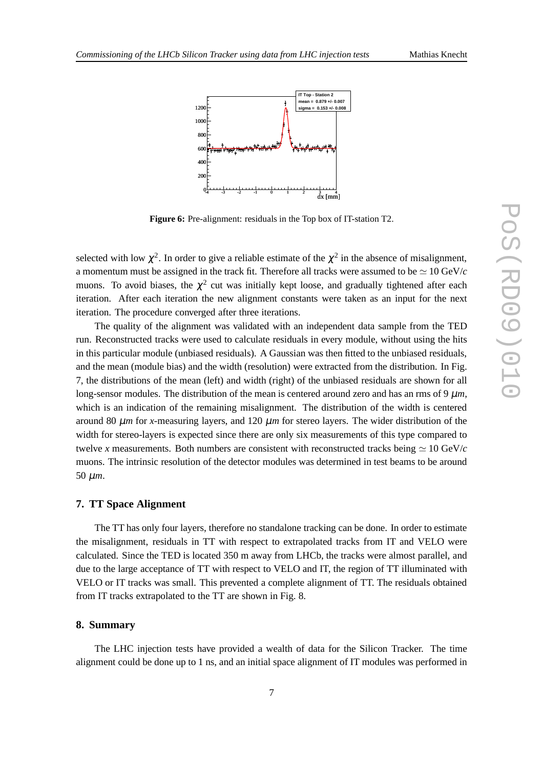

 $dx$  [mm]

**Figure 6:** Pre-alignment: residuals in the Top box of IT-station T2.

 $0$   $\frac{1}{4}$   $\frac{1}{3}$   $\frac{1}{2}$   $\frac{1}{1}$   $\frac{1}{6}$   $\frac{1}{1}$   $\frac{1}{2}$   $\frac{1}{3}$   $\frac{1}{4}$ 

selected with low  $\chi^2$ . In order to give a reliable estimate of the  $\chi^2$  in the absence of misalignment, a momentum must be assigned in the track fit. Therefore all tracks were assumed to be  $\simeq 10 \text{ GeV}/c$ muons. To avoid biases, the  $\chi^2$  cut was initially kept loose, and gradually tightened after each iteration. After each iteration the new alignment constants were taken as an input for the next iteration. The procedure converged after three iterations.

The quality of the alignment was validated with an independent data sample from the TED run. Reconstructed tracks were used to calculate residuals in every module, without using the hits in this particular module (unbiased residuals). A Gaussian was then fitted to the unbiased residuals, and the mean (module bias) and the width (resolution) were extracted from the distribution. In Fig. 7, the distributions of the mean (left) and width (right) of the unbiased residuals are shown for all long-sensor modules. The distribution of the mean is centered around zero and has an rms of  $9 \mu m$ , which is an indication of the remaining misalignment. The distribution of the width is centered around 80  $\mu$ *m* for *x*-measuring layers, and 120  $\mu$ *m* for stereo layers. The wider distribution of the width for stereo-layers is expected since there are only six measurements of this type compared to twelve *x* measurements. Both numbers are consistent with reconstructed tracks being  $\simeq 10 \text{ GeV}/c$ muons. The intrinsic resolution of the detector modules was determined in test beams to be around 50 µ*m*.

### **7. TT Space Alignment**

The TT has only four layers, therefore no standalone tracking can be done. In order to estimate the misalignment, residuals in TT with respect to extrapolated tracks from IT and VELO were calculated. Since the TED is located 350 m away from LHCb, the tracks were almost parallel, and due to the large acceptance of TT with respect to VELO and IT, the region of TT illuminated with VELO or IT tracks was small. This prevented a complete alignment of TT. The residuals obtained from IT tracks extrapolated to the TT are shown in Fig. 8.

#### **8. Summary**

The LHC injection tests have provided a wealth of data for the Silicon Tracker. The time alignment could be done up to 1 ns, and an initial space alignment of IT modules was performed in